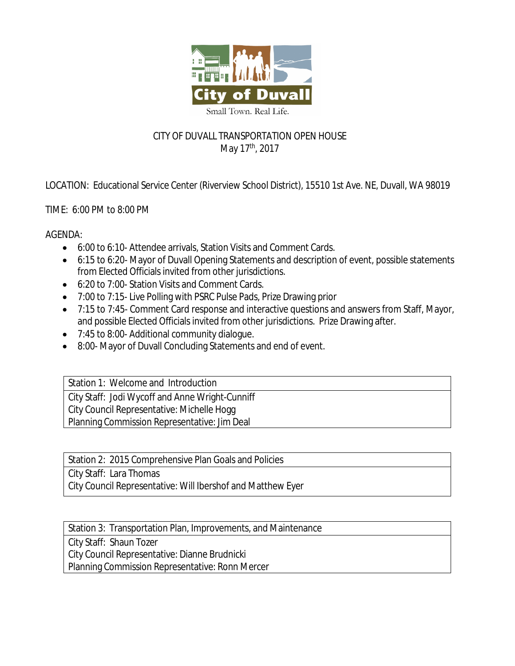

## CITY OF DUVALL TRANSPORTATION OPEN HOUSE May 17<sup>th</sup>, 2017

LOCATION: Educational Service Center (Riverview School District), 15510 1st Ave. NE, Duvall, WA 98019

TIME: 6:00 PM to 8:00 PM

AGENDA:

- 6:00 to 6:10- Attendee arrivals, Station Visits and Comment Cards.
- 6:15 to 6:20- Mayor of Duvall Opening Statements and description of event, possible statements from Elected Officials invited from other jurisdictions.
- 6:20 to 7:00- Station Visits and Comment Cards.
- 7:00 to 7:15- Live Polling with PSRC Pulse Pads, Prize Drawing prior
- 7:15 to 7:45- Comment Card response and interactive questions and answers from Staff, Mayor, and possible Elected Officials invited from other jurisdictions. Prize Drawing after.
- 7:45 to 8:00- Additional community dialogue.
- 8:00- Mayor of Duvall Concluding Statements and end of event.

Station 1: Welcome and Introduction City Staff: Jodi Wycoff and Anne Wright-Cunniff City Council Representative: Michelle Hogg Planning Commission Representative: Jim Deal

Station 2: 2015 Comprehensive Plan Goals and Policies

City Staff: Lara Thomas

City Council Representative: Will Ibershof and Matthew Eyer

Station 3: Transportation Plan, Improvements, and Maintenance

City Staff: Shaun Tozer

City Council Representative: Dianne Brudnicki

Planning Commission Representative: Ronn Mercer